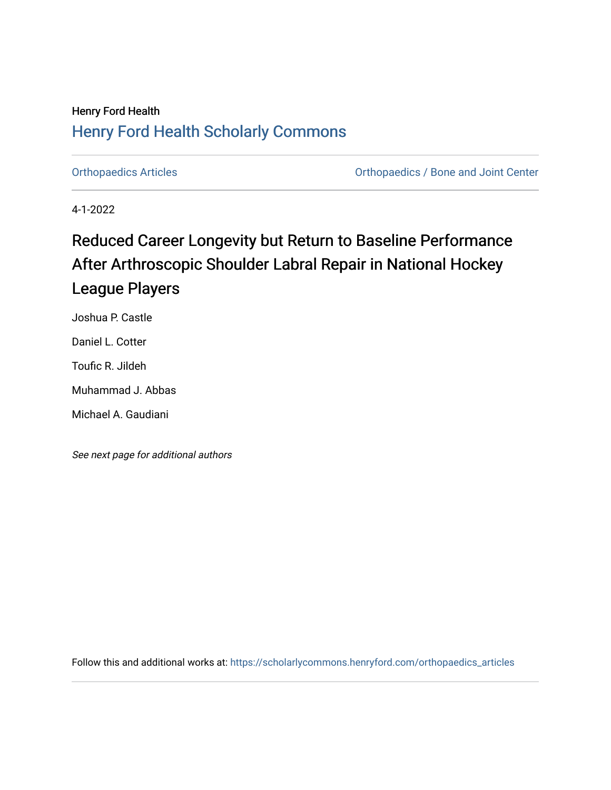## Henry Ford Health [Henry Ford Health Scholarly Commons](https://scholarlycommons.henryford.com/)

[Orthopaedics Articles](https://scholarlycommons.henryford.com/orthopaedics_articles) [Orthopaedics / Bone and Joint Center](https://scholarlycommons.henryford.com/orthopaedics) 

4-1-2022

# Reduced Career Longevity but Return to Baseline Performance After Arthroscopic Shoulder Labral Repair in National Hockey League Players

Joshua P. Castle

Daniel L. Cotter

Toufic R. Jildeh

Muhammad J. Abbas

Michael A. Gaudiani

See next page for additional authors

Follow this and additional works at: [https://scholarlycommons.henryford.com/orthopaedics\\_articles](https://scholarlycommons.henryford.com/orthopaedics_articles?utm_source=scholarlycommons.henryford.com%2Forthopaedics_articles%2F405&utm_medium=PDF&utm_campaign=PDFCoverPages)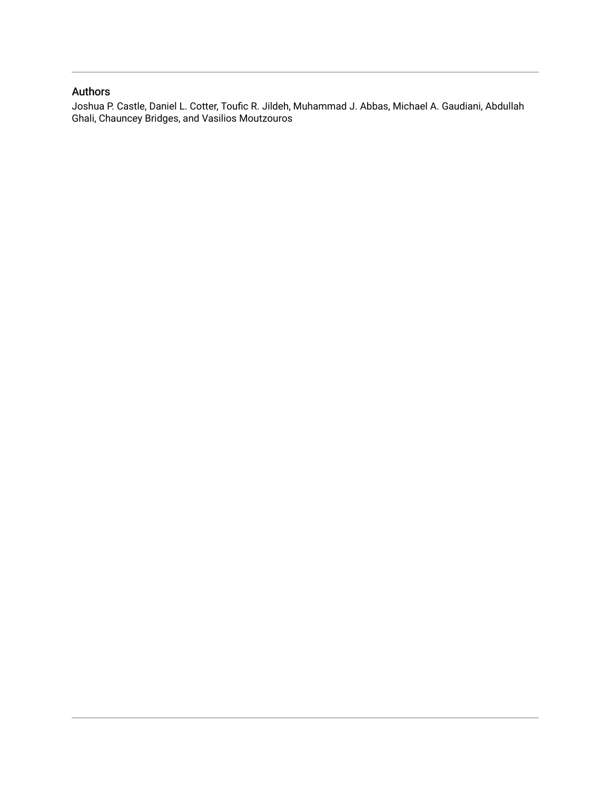### Authors

Joshua P. Castle, Daniel L. Cotter, Toufic R. Jildeh, Muhammad J. Abbas, Michael A. Gaudiani, Abdullah Ghali, Chauncey Bridges, and Vasilios Moutzouros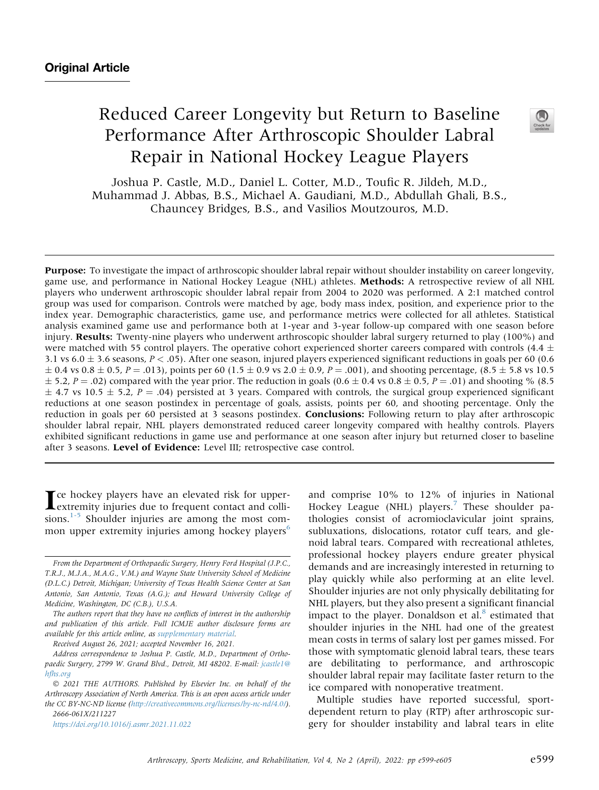## Reduced Career Longevity but Return to Baseline Performance After Arthroscopic Shoulder Labral Repair in National Hockey League Players

Joshua P. Castle, M.D., Daniel L. Cotter, M.D., Toufic R. Jildeh, M.D., Muhammad J. Abbas, B.S., Michael A. Gaudiani, M.D., Abdullah Ghali, B.S., Chauncey Bridges, B.S., and Vasilios Moutzouros, M.D.

Purpose: To investigate the impact of arthroscopic shoulder labral repair without shoulder instability on career longevity, game use, and performance in National Hockey League (NHL) athletes. Methods: A retrospective review of all NHL players who underwent arthroscopic shoulder labral repair from 2004 to 2020 was performed. A 2:1 matched control group was used for comparison. Controls were matched by age, body mass index, position, and experience prior to the index year. Demographic characteristics, game use, and performance metrics were collected for all athletes. Statistical analysis examined game use and performance both at 1-year and 3-year follow-up compared with one season before injury. Results: Twenty-nine players who underwent arthroscopic shoulder labral surgery returned to play (100%) and were matched with 55 control players. The operative cohort experienced shorter careers compared with controls (4.4  $\pm$ 3.1 vs  $6.0 \pm 3.6$  seasons,  $P < .05$ ). After one season, injured players experienced significant reductions in goals per 60 (0.6)  $\pm$  0.4 vs 0.8  $\pm$  0.5, P = .013), points per 60 (1.5  $\pm$  0.9 vs 2.0  $\pm$  0.9, P = .001), and shooting percentage, (8.5  $\pm$  5.8 vs 10.5  $\pm$  5.2, P = .02) compared with the year prior. The reduction in goals (0.6  $\pm$  0.4 vs 0.8  $\pm$  0.5, P = .01) and shooting % (8.5)  $\pm$  4.7 vs 10.5  $\pm$  5.2, P = .04) persisted at 3 years. Compared with controls, the surgical group experienced significant reductions at one season postindex in percentage of goals, assists, points per 60, and shooting percentage. Only the reduction in goals per 60 persisted at 3 seasons postindex. **Conclusions:** Following return to play after arthroscopic shoulder labral repair, NHL players demonstrated reduced career longevity compared with healthy controls. Players exhibited significant reductions in game use and performance at one season after injury but returned closer to baseline after 3 seasons. Level of Evidence: Level III; retrospective case control.

**In the left of the Induced risk for upper-**<br>extremity injuries due to frequent contact and collisions. $1-5$  Shoulder injuries are among the most com-mon upper extremity injuries among hockey players<sup>[6](#page-7-1)</sup>

Received August 26, 2021; accepted November 16, 2021.

 2021 THE AUTHORS. Published by Elsevier Inc. on behalf of the Arthroscopy Association of North America. This is an open access article under the CC BY-NC-ND license ([http://creativecommons.org/licenses/by-nc-nd/4.0/\)](http://creativecommons.org/licenses/by-nc-nd/4.0/). 2666-061X/211227

<https://doi.org/10.1016/j.asmr.2021.11.022>

and comprise 10% to 12% of injuries in National Hockey League (NHL) players.<sup>[7](#page-8-0)</sup> These shoulder pathologies consist of acromioclavicular joint sprains, subluxations, dislocations, rotator cuff tears, and glenoid labral tears. Compared with recreational athletes, professional hockey players endure greater physical demands and are increasingly interested in returning to play quickly while also performing at an elite level. Shoulder injuries are not only physically debilitating for NHL players, but they also present a significant financial impact to the player. Donaldson et al. $8$  estimated that shoulder injuries in the NHL had one of the greatest mean costs in terms of salary lost per games missed. For those with symptomatic glenoid labral tears, these tears are debilitating to performance, and arthroscopic shoulder labral repair may facilitate faster return to the ice compared with nonoperative treatment.

Multiple studies have reported successful, sportdependent return to play (RTP) after arthroscopic surgery for shoulder instability and labral tears in elite





From the Department of Orthopaedic Surgery, Henry Ford Hospital (J.P.C., T.R.J., M.J.A., M.A.G., V.M.) and Wayne State University School of Medicine (D.L.C.) Detroit, Michigan; University of Texas Health Science Center at San Antonio, San Antonio, Texas (A.G.); and Howard University College of Medicine, Washington, DC (C.B.), U.S.A.

The authors report that they have no conflicts of interest in the authorship and publication of this article. Full ICMJE author disclosure forms are available for this article online, as supplementary material.

Address correspondence to Joshua P. Castle, M.D., Department of Orthopaedic Surgery, 2799 W. Grand Blvd., Detroit, MI 48202. E-mail: [jcastle1@](mailto:jcastle1@hfhs.org) [hfhs.org](mailto:jcastle1@hfhs.org)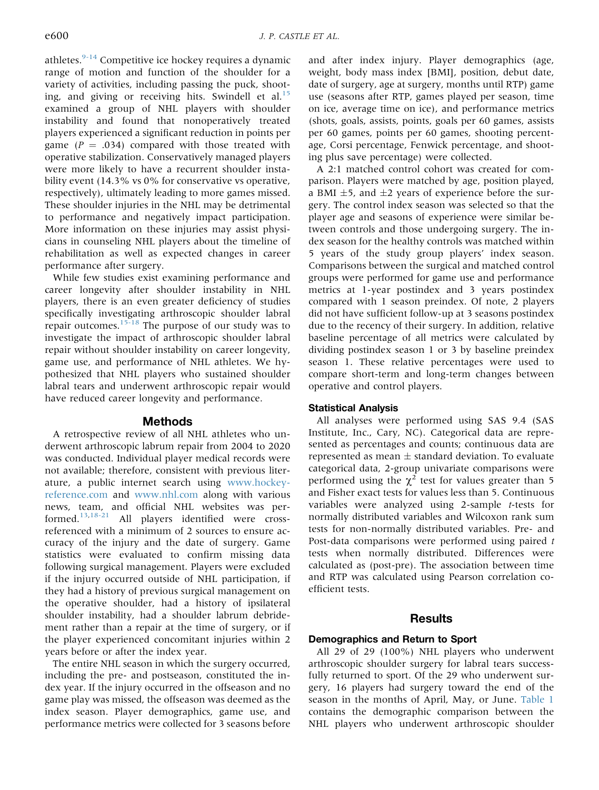athletes. $9-14$  Competitive ice hockey requires a dynamic range of motion and function of the shoulder for a variety of activities, including passing the puck, shoot-ing, and giving or receiving hits. Swindell et al.<sup>[15](#page-8-3)</sup> examined a group of NHL players with shoulder instability and found that nonoperatively treated players experienced a significant reduction in points per game ( $P = .034$ ) compared with those treated with operative stabilization. Conservatively managed players were more likely to have a recurrent shoulder instability event (14.3% vs 0% for conservative vs operative, respectively), ultimately leading to more games missed. These shoulder injuries in the NHL may be detrimental to performance and negatively impact participation. More information on these injuries may assist physicians in counseling NHL players about the timeline of rehabilitation as well as expected changes in career performance after surgery.

While few studies exist examining performance and career longevity after shoulder instability in NHL players, there is an even greater deficiency of studies specifically investigating arthroscopic shoulder labral repair outcomes. $15-18$  The purpose of our study was to investigate the impact of arthroscopic shoulder labral repair without shoulder instability on career longevity, game use, and performance of NHL athletes. We hypothesized that NHL players who sustained shoulder labral tears and underwent arthroscopic repair would have reduced career longevity and performance.

#### Methods

A retrospective review of all NHL athletes who underwent arthroscopic labrum repair from 2004 to 2020 was conducted. Individual player medical records were not available; therefore, consistent with previous literature, a public internet search using [www.hockey](http://www.hockey-reference.com)[reference.com](http://www.hockey-reference.com) and [www.nhl.com](http://www.nhl.com) along with various news, team, and official NHL websites was performed.[13](#page-8-4)[,18-21](#page-8-5) All players identified were crossreferenced with a minimum of 2 sources to ensure accuracy of the injury and the date of surgery. Game statistics were evaluated to confirm missing data following surgical management. Players were excluded if the injury occurred outside of NHL participation, if they had a history of previous surgical management on the operative shoulder, had a history of ipsilateral shoulder instability, had a shoulder labrum debridement rather than a repair at the time of surgery, or if the player experienced concomitant injuries within 2 years before or after the index year.

The entire NHL season in which the surgery occurred, including the pre- and postseason, constituted the index year. If the injury occurred in the offseason and no game play was missed, the offseason was deemed as the index season. Player demographics, game use, and performance metrics were collected for 3 seasons before

and after index injury. Player demographics (age, weight, body mass index [BMI], position, debut date, date of surgery, age at surgery, months until RTP) game use (seasons after RTP, games played per season, time on ice, average time on ice), and performance metrics (shots, goals, assists, points, goals per 60 games, assists per 60 games, points per 60 games, shooting percentage, Corsi percentage, Fenwick percentage, and shooting plus save percentage) were collected.

A 2:1 matched control cohort was created for comparison. Players were matched by age, position played, a BMI  $\pm$ 5, and  $\pm$ 2 years of experience before the surgery. The control index season was selected so that the player age and seasons of experience were similar between controls and those undergoing surgery. The index season for the healthy controls was matched within 5 years of the study group players' index season. Comparisons between the surgical and matched control groups were performed for game use and performance metrics at 1-year postindex and 3 years postindex compared with 1 season preindex. Of note, 2 players did not have sufficient follow-up at 3 seasons postindex due to the recency of their surgery. In addition, relative baseline percentage of all metrics were calculated by dividing postindex season 1 or 3 by baseline preindex season 1. These relative percentages were used to compare short-term and long-term changes between operative and control players.

#### Statistical Analysis

All analyses were performed using SAS 9.4 (SAS Institute, Inc., Cary, NC). Categorical data are represented as percentages and counts; continuous data are represented as mean  $\pm$  standard deviation. To evaluate categorical data, 2-group univariate comparisons were performed using the  $\chi^2$  test for values greater than 5 and Fisher exact tests for values less than 5. Continuous variables were analyzed using 2-sample t-tests for normally distributed variables and Wilcoxon rank sum tests for non-normally distributed variables. Pre- and Post-data comparisons were performed using paired t tests when normally distributed. Differences were calculated as (post-pre). The association between time and RTP was calculated using Pearson correlation coefficient tests.

#### Results

#### Demographics and Return to Sport

All 29 of 29 (100%) NHL players who underwent arthroscopic shoulder surgery for labral tears successfully returned to sport. Of the 29 who underwent surgery, 16 players had surgery toward the end of the season in the months of April, May, or June. [Table 1](#page-4-0) contains the demographic comparison between the NHL players who underwent arthroscopic shoulder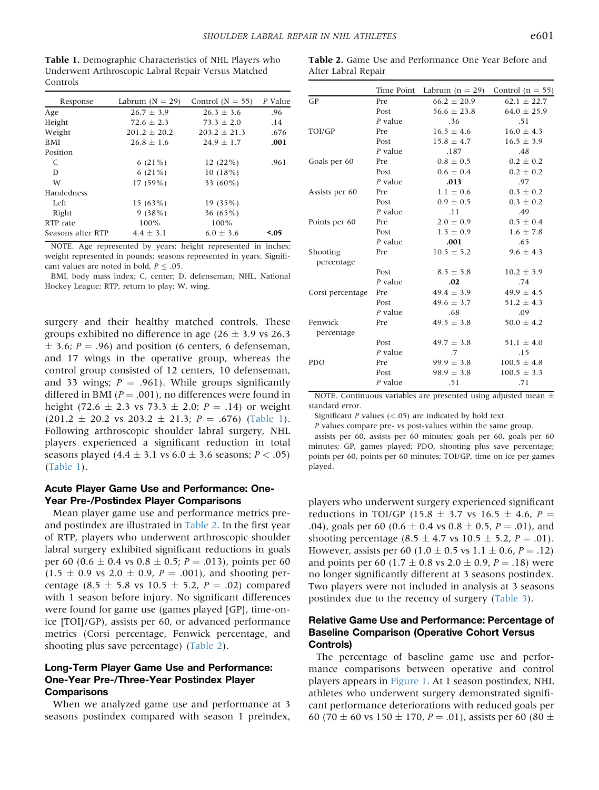After Labral Repair

<span id="page-4-0"></span>Table 1. Demographic Characteristics of NHL Players who Underwent Arthroscopic Labral Repair Versus Matched Controls

| Response          | Labrum $(N = 29)$ | Control ( $N = 55$ ) | P Value |
|-------------------|-------------------|----------------------|---------|
| Age               | $26.7 \pm 3.9$    | $26.3 \pm 3.6$       | .96     |
| Height            | $72.6 \pm 2.3$    | $73.3 \pm 2.0$       | .14     |
| Weight            | $201.2 + 20.2$    | $203.2 + 21.3$       | .676    |
| BMI               | $26.8 \pm 1.6$    | $24.9 \pm 1.7$       | .001    |
| Position          |                   |                      |         |
| C                 | $6(21\%)$         | 12(22%)              | .961    |
| D                 | $6(21\%)$         | 10(18%)              |         |
| W                 | $17(59\%)$        | 33 $(60\%)$          |         |
| Handedness        |                   |                      |         |
| Left              | 15(63%)           | 19(35%)              |         |
| Right             | 9(38%)            | 36 $(65\%)$          |         |
| RTP rate          | 100%              | 100%                 |         |
| Seasons after RTP | $4.4 \pm 3.1$     | $6.0 + 3.6$          | <.05    |
|                   |                   |                      |         |

NOTE. Age represented by years; height represented in inches; weight represented in pounds; seasons represented in years. Significant values are noted in bold,  $P \leq .05$ .

BMI, body mass index; C, center; D, defenseman; NHL, National Hockey League; RTP, return to play; W, wing.

surgery and their healthy matched controls. These groups exhibited no difference in age  $(26 \pm 3.9 \text{ vs } 26.3)$  $\pm$  3.6; P = .96) and position (6 centers, 6 defenseman, and 17 wings in the operative group, whereas the control group consisted of 12 centers, 10 defenseman, and 33 wings;  $P = .961$ ). While groups significantly differed in BMI ( $P = .001$ ), no differences were found in height (72.6  $\pm$  2.3 vs 73.3  $\pm$  2.0; P = .14) or weight  $(201.2 \pm 20.2 \text{ vs } 203.2 \pm 21.3; P = .676)$  [\(Table 1](#page-4-0)). Following arthroscopic shoulder labral surgery, NHL players experienced a significant reduction in total seasons played  $(4.4 \pm 3.1 \text{ vs } 6.0 \pm 3.6 \text{ seasons}; P < .05)$ [\(Table 1\)](#page-4-0).

#### Acute Player Game Use and Performance: One-Year Pre-/Postindex Player Comparisons

Mean player game use and performance metrics preand postindex are illustrated in [Table 2](#page-4-1). In the first year of RTP, players who underwent arthroscopic shoulder labral surgery exhibited significant reductions in goals per 60 (0.6  $\pm$  0.4 vs 0.8  $\pm$  0.5; P = .013), points per 60  $(1.5 \pm 0.9 \text{ vs } 2.0 \pm 0.9, P = .001)$ , and shooting percentage (8.5  $\pm$  5.8 vs 10.5  $\pm$  5.2, P = .02) compared with 1 season before injury. No significant differences were found for game use (games played [GP], time-onice [TOI]/GP), assists per 60, or advanced performance metrics (Corsi percentage, Fenwick percentage, and shooting plus save percentage) [\(Table 2\)](#page-4-1).

#### Long-Term Player Game Use and Performance: One-Year Pre-/Three-Year Postindex Player **Comparisons**

When we analyzed game use and performance at 3 seasons postindex compared with season 1 preindex,

|                  | Time Point | Labrum ( $n = 29$ ) | Control $(n = 55)$ |
|------------------|------------|---------------------|--------------------|
| GP               | Pre        | $66.2 \pm 20.9$     | $62.1 \pm 22.7$    |
|                  | Post       | $56.6 \pm 23.8$     | $64.0 \pm 25.9$    |
|                  | $P$ value  | .36                 | .51                |
| TOI/GP           | Pre        | $16.5 \pm 4.6$      | $16.0 \pm 4.3$     |
|                  | Post       | $15.8 \pm 4.7$      | $16.5 \pm 3.9$     |
|                  | P value    | .187                | .48                |
| Goals per 60     | Pre        | $0.8 \pm 0.5$       | $0.2 \pm 0.2$      |
|                  | Post       | $0.6 + 0.4$         | $0.2 \pm 0.2$      |
|                  | $P$ value  | .013                | .97                |
| Assists per 60   | Pre        | $1.1 \pm 0.6$       | $0.3 \pm 0.2$      |
|                  | Post       | $0.9 \pm 0.5$       | $0.3 \pm 0.2$      |
|                  | $P$ value  | .11                 | .49                |
| Points per 60    | Pre        | $2.0 \pm 0.9$       | $0.5 \pm 0.4$      |
|                  | Post       | $1.5 \pm 0.9$       | $1.6 \pm 7.8$      |
|                  | P value    | .001                | .65                |
| Shooting         | Pre        | $10.5 \pm 5.2$      | $9.6 + 4.3$        |
| percentage       |            |                     |                    |
|                  | Post       | $8.5 \pm 5.8$       | $10.2 \pm 5.9$     |
|                  | $P$ value  | .02                 | .74                |
| Corsi percentage | Pre        | $49.4 \pm 3.9$      | $49.9 \pm 4.5$     |
|                  | Post       | $49.6 \pm 3.7$      | $51.2 \pm 4.3$     |
|                  | $P$ value  | .68                 | .09                |
| Fenwick          | Pre        | $49.5 \pm 3.8$      | $50.0 \pm 4.2$     |
| percentage       |            |                     |                    |
|                  | Post       | $49.7 \pm 3.8$      | 51.1 $\pm$ 4.0     |
|                  | $P$ value  | .7                  | .15                |
| <b>PDO</b>       | Pre        | $99.9 \pm 3.8$      | $100.5 \pm 4.8$    |
|                  | Post       | $98.9 \pm 3.8$      | $100.5 \pm 3.3$    |
|                  | P value    | .51                 | .71                |

<span id="page-4-1"></span>Table 2. Game Use and Performance One Year Before and

NOTE. Continuous variables are presented using adjusted mean  $\pm$ standard error.

Significant  $P$  values  $\left( < .05 \right)$  are indicated by bold text.

P values compare pre- vs post-values within the same group.

assists per 60, assists per 60 minutes; goals per 60, goals per 60 minutes; GP, games played; PDO, shooting plus save percentage; points per 60, points per 60 minutes; TOI/GP, time on ice per games played.

players who underwent surgery experienced significant reductions in TOI/GP (15.8  $\pm$  3.7 vs 16.5  $\pm$  4.6, P = .04), goals per 60 (0.6  $\pm$  0.4 vs 0.8  $\pm$  0.5, P = .01), and shooting percentage (8.5  $\pm$  4.7 vs 10.5  $\pm$  5.2, P = .01). However, assists per 60 (1.0  $\pm$  0.5 vs 1.1  $\pm$  0.6, P = .12) and points per 60 (1.7  $\pm$  0.8 vs 2.0  $\pm$  0.9, P = .18) were no longer significantly different at 3 seasons postindex. Two players were not included in analysis at 3 seasons postindex due to the recency of surgery ([Table 3\)](#page-5-0).

#### Relative Game Use and Performance: Percentage of Baseline Comparison (Operative Cohort Versus Controls)

The percentage of baseline game use and performance comparisons between operative and control players appears in [Figure 1](#page-6-0). At 1 season postindex, NHL athletes who underwent surgery demonstrated significant performance deteriorations with reduced goals per 60 (70  $\pm$  60 vs 150  $\pm$  170, P = .01), assists per 60 (80  $\pm$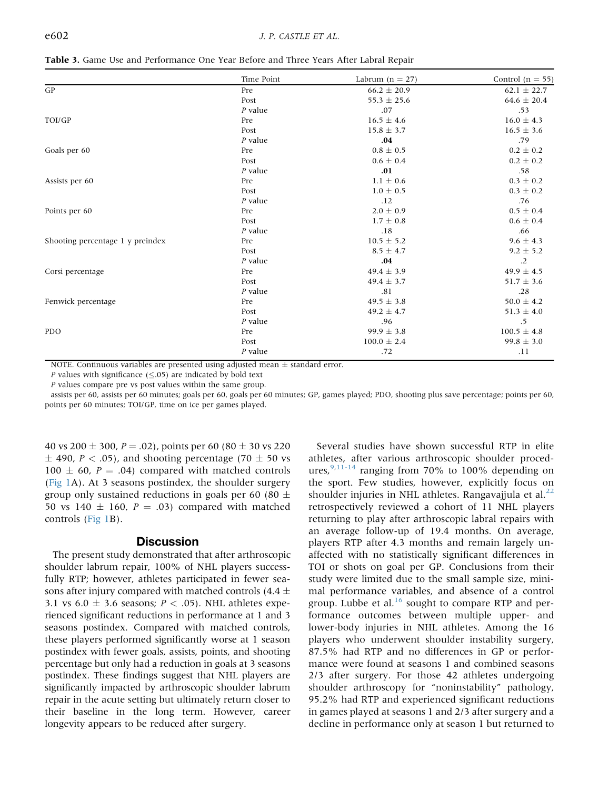|                                  | Time Point | Labrum $(n = 27)$ | Control $(n = 55)$ |
|----------------------------------|------------|-------------------|--------------------|
| GP                               | Pre        | $66.2 \pm 20.9$   | $62.1 \pm 22.7$    |
|                                  | Post       | $55.3 \pm 25.6$   | $64.6 \pm 20.4$    |
|                                  | $P$ value  | .07               | .53                |
| TOI/GP                           | Pre        | $16.5 \pm 4.6$    | $16.0 \pm 4.3$     |
|                                  | Post       | $15.8 \pm 3.7$    | $16.5 \pm 3.6$     |
|                                  | $P$ value  | .04               | .79                |
| Goals per 60                     | Pre        | $0.8 \pm 0.5$     | $0.2 \pm 0.2$      |
|                                  | Post       | $0.6 \pm 0.4$     | $0.2 \pm 0.2$      |
|                                  | $P$ value  | .01               | .58                |
| Assists per 60                   | Pre        | $1.1 \pm 0.6$     | $0.3 \pm 0.2$      |
|                                  | Post       | $1.0 \pm 0.5$     | $0.3 \pm 0.2$      |
|                                  | $P$ value  | .12               | .76                |
| Points per 60                    | Pre        | $2.0 \pm 0.9$     | $0.5 \pm 0.4$      |
|                                  | Post       | $1.7 \pm 0.8$     | $0.6 \pm 0.4$      |
|                                  | $P$ value  | .18               | .66                |
| Shooting percentage 1 y preindex | Pre        | $10.5 \pm 5.2$    | $9.6 \pm 4.3$      |
|                                  | Post       | $8.5 \pm 4.7$     | $9.2 \pm 5.2$      |
|                                  | $P$ value  | .04               | $\cdot$ .2         |
| Corsi percentage                 | Pre        | $49.4 \pm 3.9$    | $49.9 \pm 4.5$     |
|                                  | Post       | $49.4 \pm 3.7$    | $51.7 \pm 3.6$     |
|                                  | $P$ value  | .81               | .28                |
| Fenwick percentage               | Pre        | $49.5 \pm 3.8$    | $50.0 \pm 4.2$     |
|                                  | Post       | $49.2 \pm 4.7$    | $51.3 \pm 4.0$     |
|                                  | $P$ value  | .96               | .5                 |
| <b>PDO</b>                       | Pre        | $99.9 \pm 3.8$    | $100.5 \pm 4.8$    |
|                                  | Post       | $100.0 \pm 2.4$   | $99.8 \pm 3.0$     |
|                                  | P value    | .72               | .11                |

<span id="page-5-0"></span>Table 3. Game Use and Performance One Year Before and Three Years After Labral Repair

NOTE. Continuous variables are presented using adjusted mean  $\pm$  standard error.

*P* values with significance  $(\leq.05)$  are indicated by bold text

P values compare pre vs post values within the same group.

assists per 60, assists per 60 minutes; goals per 60, goals per 60 minutes; GP, games played; PDO, shooting plus save percentage; points per 60, points per 60 minutes; TOI/GP, time on ice per games played.

40 vs 200  $\pm$  300, P = .02), points per 60 (80  $\pm$  30 vs 220  $\pm$  490, P < .05), and shooting percentage (70  $\pm$  50 vs  $100 \pm 60$ ,  $P = .04$ ) compared with matched controls [\(Fig 1](#page-6-0)A). At 3 seasons postindex, the shoulder surgery group only sustained reductions in goals per 60 (80  $\pm$ 50 vs 140  $\pm$  160, P = .03) compared with matched controls ([Fig 1B](#page-6-0)).

#### **Discussion**

The present study demonstrated that after arthroscopic shoulder labrum repair, 100% of NHL players successfully RTP; however, athletes participated in fewer seasons after injury compared with matched controls (4.4  $\pm$ 3.1 vs  $6.0 \pm 3.6$  seasons;  $P < .05$ ). NHL athletes experienced significant reductions in performance at 1 and 3 seasons postindex. Compared with matched controls, these players performed significantly worse at 1 season postindex with fewer goals, assists, points, and shooting percentage but only had a reduction in goals at 3 seasons postindex. These findings suggest that NHL players are significantly impacted by arthroscopic shoulder labrum repair in the acute setting but ultimately return closer to their baseline in the long term. However, career longevity appears to be reduced after surgery.

Several studies have shown successful RTP in elite athletes, after various arthroscopic shoulder procedures,  $9,11-14$  $9,11-14$  ranging from 70% to 100% depending on the sport. Few studies, however, explicitly focus on shoulder injuries in NHL athletes. Rangavajjula et al. $^{22}$  $^{22}$  $^{22}$ retrospectively reviewed a cohort of 11 NHL players returning to play after arthroscopic labral repairs with an average follow-up of 19.4 months. On average, players RTP after 4.3 months and remain largely unaffected with no statistically significant differences in TOI or shots on goal per GP. Conclusions from their study were limited due to the small sample size, minimal performance variables, and absence of a control group. Lubbe et al. $16$  sought to compare RTP and performance outcomes between multiple upper- and lower-body injuries in NHL athletes. Among the 16 players who underwent shoulder instability surgery, 87.5% had RTP and no differences in GP or performance were found at seasons 1 and combined seasons 2/3 after surgery. For those 42 athletes undergoing shoulder arthroscopy for "noninstability" pathology, 95.2% had RTP and experienced significant reductions in games played at seasons 1 and 2/3 after surgery and a decline in performance only at season 1 but returned to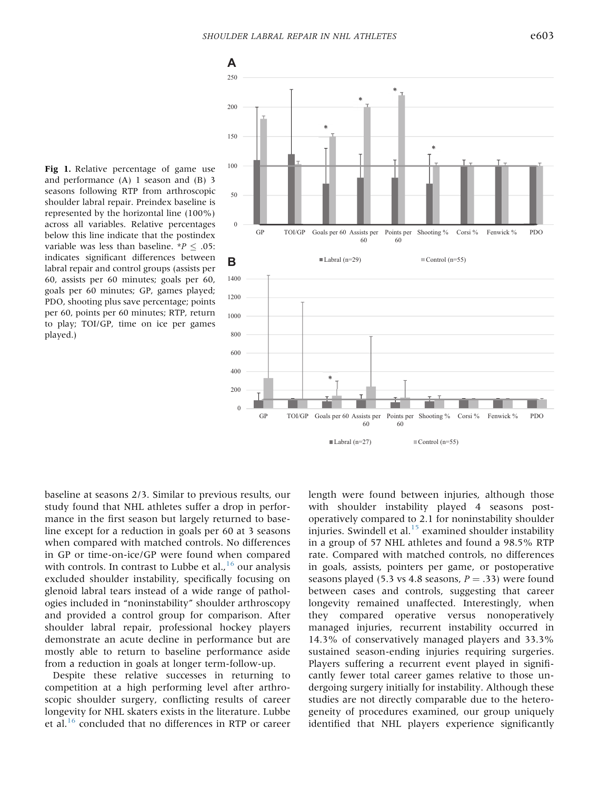<span id="page-6-0"></span>

Fig 1. Relative percentage of game use and performance (A) 1 season and (B) 3 seasons following RTP from arthroscopic shoulder labral repair. Preindex baseline is represented by the horizontal line (100%) across all variables. Relative percentages below this line indicate that the postindex variable was less than baseline. \* $P \leq .05$ : indicates significant differences between labral repair and control groups (assists per 60, assists per 60 minutes; goals per 60, goals per 60 minutes; GP, games played; PDO, shooting plus save percentage; points per 60, points per 60 minutes; RTP, return to play; TOI/GP, time on ice per games played.)

baseline at seasons 2/3. Similar to previous results, our study found that NHL athletes suffer a drop in performance in the first season but largely returned to baseline except for a reduction in goals per 60 at 3 seasons when compared with matched controls. No differences in GP or time-on-ice/GP were found when compared with controls. In contrast to Lubbe et al.,  $^{16}$  $^{16}$  $^{16}$  our analysis excluded shoulder instability, specifically focusing on glenoid labral tears instead of a wide range of pathologies included in "noninstability" shoulder arthroscopy and provided a control group for comparison. After shoulder labral repair, professional hockey players demonstrate an acute decline in performance but are mostly able to return to baseline performance aside from a reduction in goals at longer term-follow-up.

Despite these relative successes in returning to competition at a high performing level after arthroscopic shoulder surgery, conflicting results of career longevity for NHL skaters exists in the literature. Lubbe et al.[16](#page-8-8) concluded that no differences in RTP or career

length were found between injuries, although those with shoulder instability played 4 seasons postoperatively compared to 2.1 for noninstability shoulder injuries. Swindell et al. $^{15}$  $^{15}$  $^{15}$  examined shoulder instability in a group of 57 NHL athletes and found a 98.5% RTP rate. Compared with matched controls, no differences in goals, assists, pointers per game, or postoperative seasons played (5.3 vs 4.8 seasons,  $P = .33$ ) were found between cases and controls, suggesting that career longevity remained unaffected. Interestingly, when they compared operative versus nonoperatively managed injuries, recurrent instability occurred in 14.3% of conservatively managed players and 33.3% sustained season-ending injuries requiring surgeries. Players suffering a recurrent event played in significantly fewer total career games relative to those undergoing surgery initially for instability. Although these studies are not directly comparable due to the heterogeneity of procedures examined, our group uniquely identified that NHL players experience significantly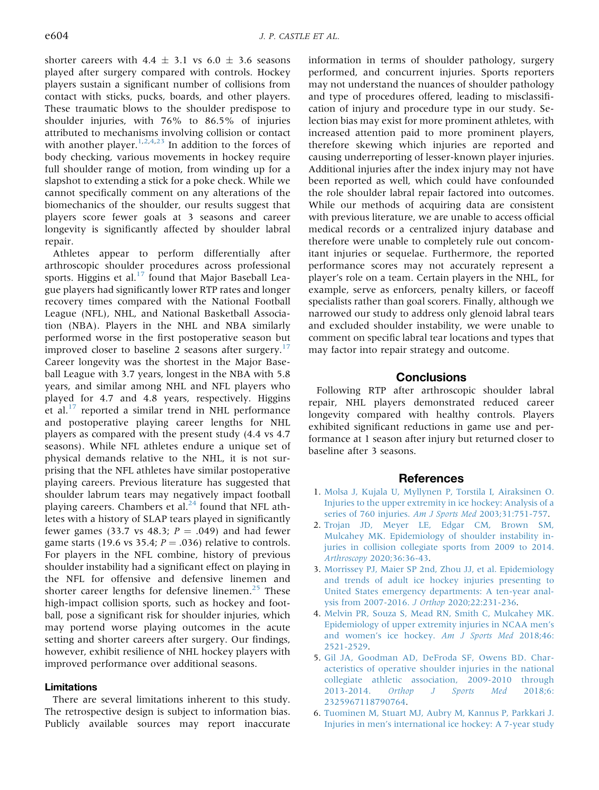shorter careers with 4.4  $\pm$  3.1 vs 6.0  $\pm$  3.6 seasons played after surgery compared with controls. Hockey players sustain a significant number of collisions from contact with sticks, pucks, boards, and other players. These traumatic blows to the shoulder predispose to shoulder injuries, with 76% to 86.5% of injuries attributed to mechanisms involving collision or contact with another player.<sup>[1,](#page-7-0)[2,](#page-7-2)[4,](#page-7-3)[23](#page-8-9)</sup> In addition to the forces of body checking, various movements in hockey require full shoulder range of motion, from winding up for a slapshot to extending a stick for a poke check. While we cannot specifically comment on any alterations of the biomechanics of the shoulder, our results suggest that players score fewer goals at 3 seasons and career longevity is significantly affected by shoulder labral repair.

Athletes appear to perform differentially after arthroscopic shoulder procedures across professional sports. Higgins et al. $^{17}$  $^{17}$  $^{17}$  found that Major Baseball League players had significantly lower RTP rates and longer recovery times compared with the National Football League (NFL), NHL, and National Basketball Association (NBA). Players in the NHL and NBA similarly performed worse in the first postoperative season but improved closer to baseline 2 seasons after surgery.<sup>[17](#page-8-10)</sup> Career longevity was the shortest in the Major Baseball League with 3.7 years, longest in the NBA with 5.8 years, and similar among NHL and NFL players who played for 4.7 and 4.8 years, respectively. Higgins et al. $^{17}$  $^{17}$  $^{17}$  reported a similar trend in NHL performance and postoperative playing career lengths for NHL players as compared with the present study (4.4 vs 4.7 seasons). While NFL athletes endure a unique set of physical demands relative to the NHL, it is not surprising that the NFL athletes have similar postoperative playing careers. Previous literature has suggested that shoulder labrum tears may negatively impact football playing careers. Chambers et al. $^{24}$  $^{24}$  $^{24}$  found that NFL athletes with a history of SLAP tears played in significantly fewer games (33.7 vs 48.3;  $P = .049$ ) and had fewer game starts (19.6 vs 35.4;  $P = .036$ ) relative to controls. For players in the NFL combine, history of previous shoulder instability had a significant effect on playing in the NFL for offensive and defensive linemen and shorter career lengths for defensive linemen.<sup>[25](#page-8-12)</sup> These high-impact collision sports, such as hockey and football, pose a significant risk for shoulder injuries, which may portend worse playing outcomes in the acute setting and shorter careers after surgery. Our findings, however, exhibit resilience of NHL hockey players with improved performance over additional seasons.

#### **Limitations**

There are several limitations inherent to this study. The retrospective design is subject to information bias. Publicly available sources may report inaccurate

information in terms of shoulder pathology, surgery performed, and concurrent injuries. Sports reporters may not understand the nuances of shoulder pathology and type of procedures offered, leading to misclassification of injury and procedure type in our study. Selection bias may exist for more prominent athletes, with increased attention paid to more prominent players, therefore skewing which injuries are reported and causing underreporting of lesser-known player injuries. Additional injuries after the index injury may not have been reported as well, which could have confounded the role shoulder labral repair factored into outcomes. While our methods of acquiring data are consistent with previous literature, we are unable to access official medical records or a centralized injury database and therefore were unable to completely rule out concomitant injuries or sequelae. Furthermore, the reported performance scores may not accurately represent a player's role on a team. Certain players in the NHL, for example, serve as enforcers, penalty killers, or faceoff specialists rather than goal scorers. Finally, although we narrowed our study to address only glenoid labral tears and excluded shoulder instability, we were unable to comment on specific labral tear locations and types that may factor into repair strategy and outcome.

#### Conclusions

Following RTP after arthroscopic shoulder labral repair, NHL players demonstrated reduced career longevity compared with healthy controls. Players exhibited significant reductions in game use and performance at 1 season after injury but returned closer to baseline after 3 seasons.

#### References

- <span id="page-7-0"></span>1. [Molsa J, Kujala U, Myllynen P, Torstila I, Airaksinen O.](http://refhub.elsevier.com/S2666-061X(21)00253-4/sref1) [Injuries to the upper extremity in ice hockey: Analysis of a](http://refhub.elsevier.com/S2666-061X(21)00253-4/sref1) [series of 760 injuries.](http://refhub.elsevier.com/S2666-061X(21)00253-4/sref1) Am J Sports Med 2003;31:751-757.
- <span id="page-7-2"></span>2. [Trojan JD, Meyer LE, Edgar CM, Brown SM,](http://refhub.elsevier.com/S2666-061X(21)00253-4/sref2) [Mulcahey MK. Epidemiology of shoulder instability in](http://refhub.elsevier.com/S2666-061X(21)00253-4/sref2)[juries in collision collegiate sports from 2009 to 2014.](http://refhub.elsevier.com/S2666-061X(21)00253-4/sref2) Arthroscopy [2020;36:36-43.](http://refhub.elsevier.com/S2666-061X(21)00253-4/sref2)
- 3. [Morrissey PJ, Maier SP 2nd, Zhou JJ, et al. Epidemiology](http://refhub.elsevier.com/S2666-061X(21)00253-4/sref3) [and trends of adult ice hockey injuries presenting to](http://refhub.elsevier.com/S2666-061X(21)00253-4/sref3) [United States emergency departments: A ten-year anal](http://refhub.elsevier.com/S2666-061X(21)00253-4/sref3)[ysis from 2007-2016.](http://refhub.elsevier.com/S2666-061X(21)00253-4/sref3) J Orthop 2020;22:231-236.
- <span id="page-7-3"></span>4. [Melvin PR, Souza S, Mead RN, Smith C, Mulcahey MK.](http://refhub.elsevier.com/S2666-061X(21)00253-4/sref4) [Epidemiology of upper extremity injuries in NCAA men](http://refhub.elsevier.com/S2666-061X(21)00253-4/sref4)'s and women's ice hockey. [Am J Sports Med](http://refhub.elsevier.com/S2666-061X(21)00253-4/sref4) 2018;46: [2521-2529.](http://refhub.elsevier.com/S2666-061X(21)00253-4/sref4)
- 5. [Gil JA, Goodman AD, DeFroda SF, Owens BD. Char](http://refhub.elsevier.com/S2666-061X(21)00253-4/sref5)[acteristics of operative shoulder injuries in the national](http://refhub.elsevier.com/S2666-061X(21)00253-4/sref5) [collegiate athletic association, 2009-2010 through](http://refhub.elsevier.com/S2666-061X(21)00253-4/sref5) 2013-2014. [Orthop J Sports Med](http://refhub.elsevier.com/S2666-061X(21)00253-4/sref5) 2018;6: [2325967118790764](http://refhub.elsevier.com/S2666-061X(21)00253-4/sref5).
- <span id="page-7-1"></span>6. [Tuominen M, Stuart MJ, Aubry M, Kannus P, Parkkari J.](http://refhub.elsevier.com/S2666-061X(21)00253-4/sref6) Injuries in men'[s international ice hockey: A 7-year study](http://refhub.elsevier.com/S2666-061X(21)00253-4/sref6)